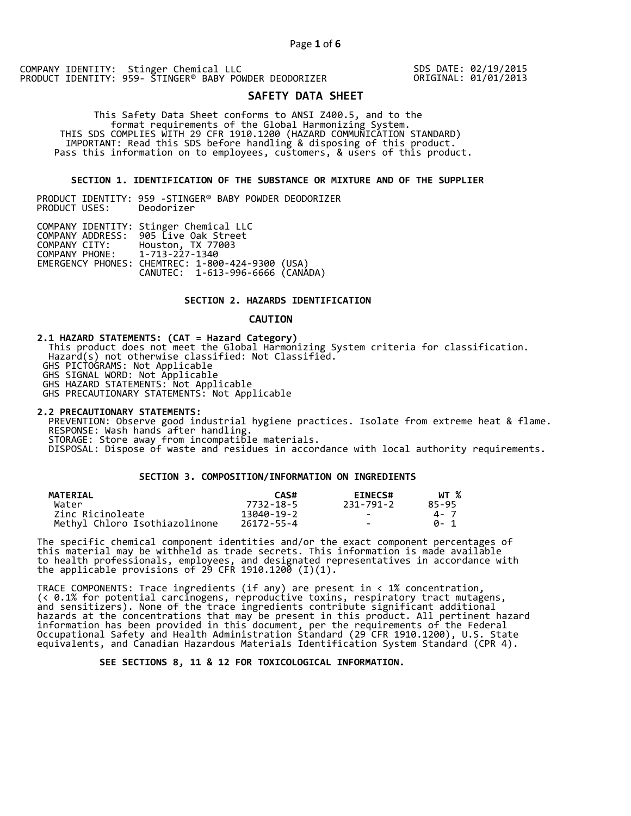SDS DATE: 02/19/2015 ORIGINAL: 01/01/2013

# **SAFETY DATA SHEET**

 This Safety Data Sheet conforms to ANSI Z400.5, and to the format requirements of the Global Harmonizing System. THIS SDS COMPLIES WITH 29 CFR 1910.1200 (HAZARD COMMUNICATION STANDARD) IMPORTANT: Read this SDS before handling & disposing of this product. Pass this information on to employees, customers, & users of this product.

# **SECTION 1. IDENTIFICATION OF THE SUBSTANCE OR MIXTURE AND OF THE SUPPLIER**

PRODUCT IDENTITY: 959 -STINGER® BABY POWDER DEODORIZER PRODUCT USES:

|                               | COMPANY IDENTITY: Stinger Chemical LLC           |  |
|-------------------------------|--------------------------------------------------|--|
|                               | COMPANY ADDRESS: 905 Live Oak Street             |  |
|                               | COMPANY CITY: Houston, TX 77003                  |  |
| COMPANY PHONE: 1-713-227-1340 |                                                  |  |
|                               | EMERGENCY PHONES: CHEMTREC: 1-800-424-9300 (USA) |  |
|                               | CANUTEC: 1-613-996-6666 (CANÁDA)                 |  |

#### **SECTION 2. HAZARDS IDENTIFICATION**

#### **CAUTION**

**2.1 HAZARD STATEMENTS: (CAT = Hazard Category)** This product does not meet the Global Harmonizing System criteria for classification. Hazard(s) not otherwise classified: Not Classified. GHS PICTOGRAMS: Not Applicable GHS SIGNAL WORD: Not Applicable GHS HAZARD STATEMENTS: Not Applicable GHS PRECAUTIONARY STATEMENTS: Not Applicable

**2.2 PRECAUTIONARY STATEMENTS:**  PREVENTION: Observe good industrial hygiene practices. Isolate from extreme heat & flame. RESPONSE: Wash hands after handling. STORAGE: Store away from incompatible materials. DISPOSAL: Dispose of waste and residues in accordance with local authority requirements.

# **SECTION 3. COMPOSITION/INFORMATION ON INGREDIENTS**

| <b>MATERIAL</b>               | CAS#       | <b>EINECS#</b> | WT %  |
|-------------------------------|------------|----------------|-------|
| Water                         | 7732-18-5  | 231-791-2      | 85-95 |
| Zinc Ricinoleate              | 13040-19-2 | $\sim$         | 4 - 7 |
| Methyl Chloro Isothiazolinone | 26172-55-4 | $\sim$         | A- 1  |

The specific chemical component identities and/or the exact component percentages of this material may be withheld as trade secrets. This information is made available to health professionals, employees, and designated representatives in accordance with the applicable provisions of 29 CFR 1910.1200̄ (I)(1).  $\overline{\phantom{a}}$ 

TRACE COMPONENTS: Trace ingredients (if any) are present in < 1% concentration, (< 0.1% for potential carcinogens, reproductive toxins, respiratory tract mutagens, and sensitizers). None of the trace ingredients contribute significant additional hazards at the concentrations that may be present in this product. All pertinent hazard information has been provided in this document, per the requirements of the Federal Occupational Safety and Health Administration Standard (29 CFR 1910.1200), U.S. State equivalents, and Canadian Hazardous Materials Identification System Standard (CPR 4).

 **SEE SECTIONS 8, 11 & 12 FOR TOXICOLOGICAL INFORMATION.**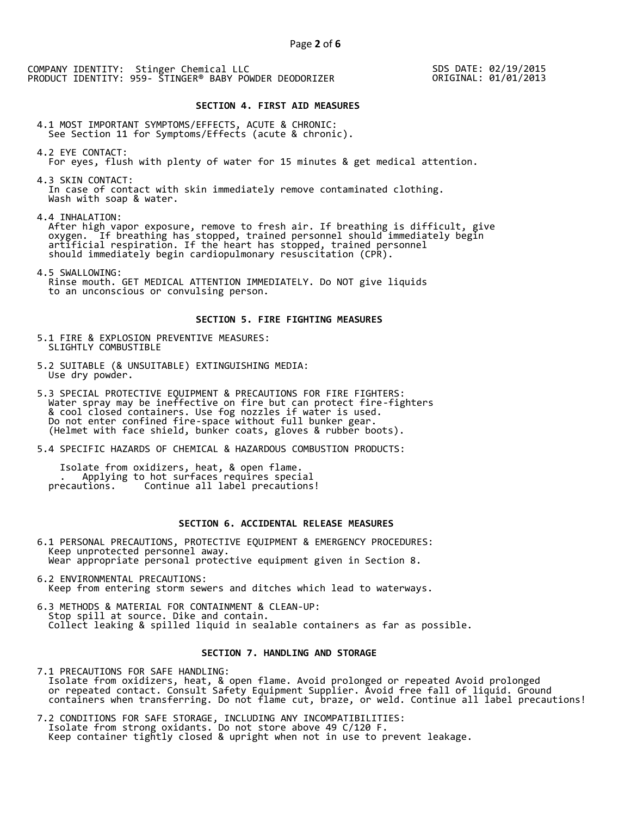SDS DATE: 02/19/2015 ORIGINAL: 01/01/2013

#### **SECTION 4. FIRST AID MEASURES**

4.1 MOST IMPORTANT SYMPTOMS/EFFECTS, ACUTE & CHRONIC: See Section 11 for Symptoms/Effects (acute & chronic).

- 4.2 EYE CONTACT: For eyes, flush with plenty of water for 15 minutes & get medical attention.
- 4.3 SKIN CONTACT: In case of contact with skin immediately remove contaminated clothing. Wash with soap & water.

4.4 INHALATION: After high vapor exposure, remove to fresh air. If breathing is difficult, give oxygen. If breathing has stopped, trained personnel should immediately begin artificial respiration. If the heart has stopped, trained personnel should immediately begin cardiopulmonary resuscitation (CPR).

4.5 SWALLOWING: Rinse mouth. GET MEDICAL ATTENTION IMMEDIATELY. Do NOT give liquids to an unconscious or convulsing person.

#### **SECTION 5. FIRE FIGHTING MEASURES**

5.1 FIRE & EXPLOSION PREVENTIVE MEASURES: SLIGHTLY COMBUSTIBLE

- 5.2 SUITABLE (& UNSUITABLE) EXTINGUISHING MEDIA: Use dry powder.
- 5.3 SPECIAL PROTECTIVE EQUIPMENT & PRECAUTIONS FOR FIRE FIGHTERS: Water spray may be ineffective on fire but can protect fire-fighters & cool closed containers. Use fog nozzles if water is used. Do not enter confined fire-space without full bunker gear. (Helmet with face shield, bunker coats, gloves & rubber boots).
- 5.4 SPECIFIC HAZARDS OF CHEMICAL & HAZARDOUS COMBUSTION PRODUCTS:

 Isolate from oxidizers, heat, & open flame. . Applying to hot surfaces requires special precautions. Continue all label precautions!

# **SECTION 6. ACCIDENTAL RELEASE MEASURES**

- 6.1 PERSONAL PRECAUTIONS, PROTECTIVE EQUIPMENT & EMERGENCY PROCEDURES: Keep unprotected personnel away. Wear appropriate personal protective equipment given in Section 8.
- 6.2 ENVIRONMENTAL PRECAUTIONS: Keep from entering storm sewers and ditches which lead to waterways.
- 6.3 METHODS & MATERIAL FOR CONTAINMENT & CLEAN-UP: Stop spill at source. Dike and contain. Collect leaking & spilled liquid in sealable containers as far as possible.

#### **SECTION 7. HANDLING AND STORAGE**

7.1 PRECAUTIONS FOR SAFE HANDLING: Isolate from oxidizers, heat, & open flame. Avoid prolonged or repeated Avoid prolonged or repeated contact. Consult Safety Equipment Supplier. Avoid free fall of liquid. Ground containers when transferring. Do not flame cut, braze, or weld. Continue all label precautions!

7.2 CONDITIONS FOR SAFE STORAGE, INCLUDING ANY INCOMPATIBILITIES: Isolate from strong oxidants. Do not store above 49 C/120 F. Keep container tightly closed & upright when not in use to prevent leakage.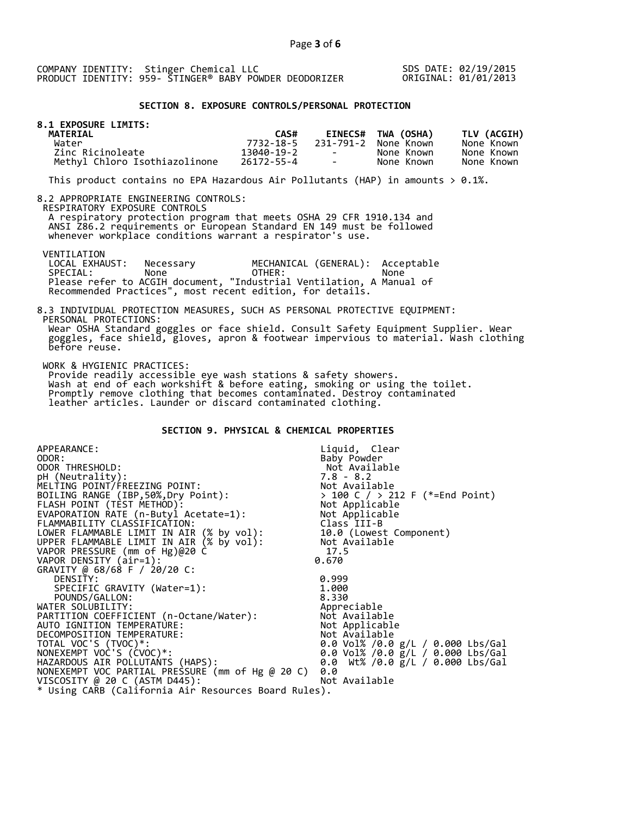SDS DATE: 02/19/2015 ORIGINAL: 01/01/2013

# **SECTION 8. EXPOSURE CONTROLS/PERSONAL PROTECTION**

| 8.1 EXPOSURE LIMITS:<br><b>MATERIAL</b> | CAS#       |                          | EINECS# TWA (OSHA)   | TLV (ACGIH) |
|-----------------------------------------|------------|--------------------------|----------------------|-------------|
| Water                                   | 7732-18-5  |                          | 231-791-2 None Known | None Known  |
| Zinc Ricinoleate                        | 13040-19-2 | <b>Contract Contract</b> | None Known           | None Known  |
| Methyl Chloro Isothiazolinone           | 26172-55-4 | <b>Contract Contract</b> | None Known           | None Known  |

This product contains no EPA Hazardous Air Pollutants (HAP) in amounts  $> 0.1\%$ .

#### 8.2 APPROPRIATE ENGINEERING CONTROLS:

RESPIRATORY EXPOSURE CONTROLS

 A respiratory protection program that meets OSHA 29 CFR 1910.134 and ANSI Z86.2 requirements or European Standard EN 149 must be followed whenever workplace conditions warrant a respirator's use.

# VENTILATION<br>LOCAL EXHAUST:

before reuse.

 LOCAL EXHAUST: Necessary MECHANICAL (GENERAL): Acceptable SPECIAL: None OTHER: None Please refer to ACGIH document, "Industrial Ventilation, A Manual of Recommended Practices", most recent edition, for details.

#### 8.3 INDIVIDUAL PROTECTION MEASURES, SUCH AS PERSONAL PROTECTIVE EQUIPMENT: PERSONAL PROTECTIONS: Wear OSHA Standard goggles or face shield. Consult Safety Equipment Supplier. Wear goggles, face shield, gloves, apron & footwear impervious to material. Wash clothing

WORK & HYGIENIC PRACTICES:

 Provide readily accessible eye wash stations & safety showers. Wash at end of each workshift & before eating, smoking or using the toilet. Promptly remove clothing that becomes contaminated. Destroy contaminated leather articles. Launder or discard contaminated clothing.

# **SECTION 9. PHYSICAL & CHEMICAL PROPERTIES**

| APPEARANCE:                                          | Liquid, Clear                                                                     |
|------------------------------------------------------|-----------------------------------------------------------------------------------|
| ODOR:                                                | Baby Powder                                                                       |
| ODOR THRESHOLD:                                      | Not Available                                                                     |
| pH (Neutrality):                                     |                                                                                   |
| MELTING POINT/FREEZING POINT:                        |                                                                                   |
| BOILING RANGE (IBP, 50%, Dry Point):                 | > 100 C / > 212 F (*=End Point)                                                   |
| FLASH POINT (TÈST METHOD):                           | 7.8 - 8.2<br>Not Available<br>> 100 C / > 212<br>Not Applicable<br>Nit Applicable |
| EVAPORATION RATE (n-Butyl Acetate=1):                | Not Applicable                                                                    |
| FLAMMABILITY CLASSIFICATION:                         | Class III-B                                                                       |
| LOWER FLAMMABLE LIMIT IN AIR (% by vol):             | 10.0 (Lowest Component)                                                           |
| UPPER FLAMMABLE LIMIT IN AIR (% by vol):             | Not Available                                                                     |
| VAPOR PRESSURE (mm of Hg)@20 C                       | 17.5                                                                              |
| VAPOR DENSITY (air=1):                               | 0.670                                                                             |
| GRAVITY @ 68/68 F / 20/20 C:                         |                                                                                   |
| DENSITY:                                             | 0.999                                                                             |
| SPECIFIC GRAVITY (Water=1):                          | 1.000                                                                             |
| POUNDS/GALLON:                                       | 8.330                                                                             |
| WATER SOLUBILITY:                                    | Appreciable                                                                       |
| PARTITION COEFFICIENT (n-Octane/Water):              | Not Available                                                                     |
| AUTO IGNITION TEMPERATURE:                           | Not Applicable                                                                    |
| DECOMPOSITION TEMPERATURE:                           | Not Available                                                                     |
| TOTAL VOC'S (TVOC)*:                                 | 0.0 Vol% /0.0 g/L / 0.000 Lbs/Gal                                                 |
| NONEXEMPT VOC'S (CVOC)*:                             | 0.0 Vol% /0.0 g/L / 0.000 Lbs/Gal                                                 |
| HAZARDOUS AIR POLLUTANTS (HAPS):                     | 0.0 Wt% /0.0 g/L / 0.000 Lbs/Gal                                                  |
| NONEXEMPT VOC PARTIAL PRESSURE (mm of Hg @ 20 C)     | 0.0                                                                               |
| VISCOSITY @ 20 C (ASTM D445):                        | Not Available                                                                     |
| * Using CARB (California Air Resources Board Rules). |                                                                                   |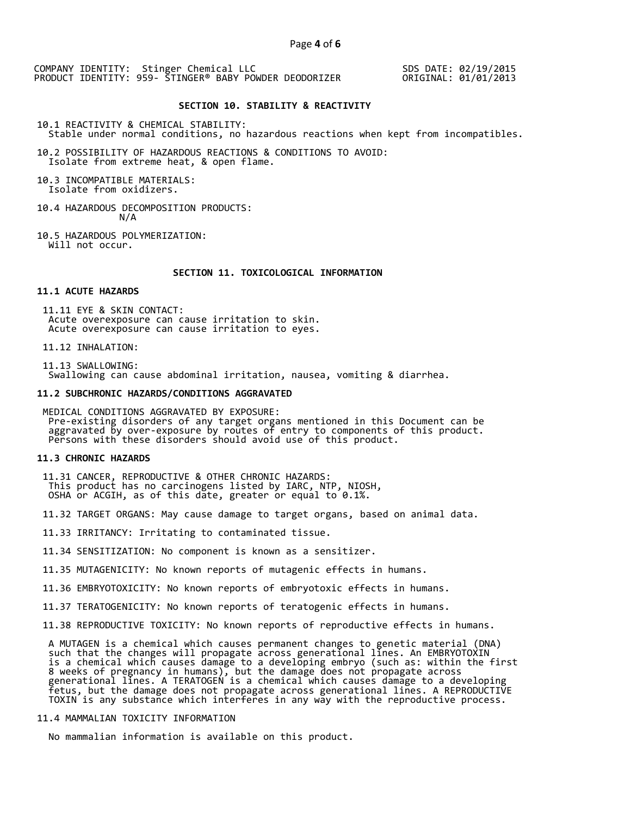SDS DATE: 02/19/2015 ORIGINAL: 01/01/2013

#### **SECTION 10. STABILITY & REACTIVITY**

10.1 REACTIVITY & CHEMICAL STABILITY: Stable under normal conditions, no hazardous reactions when kept from incompatibles.

10.2 POSSIBILITY OF HAZARDOUS REACTIONS & CONDITIONS TO AVOID: Isolate from extreme heat, & open flame.

10.3 INCOMPATIBLE MATERIALS: Isolate from oxidizers.

- 10.4 HAZARDOUS DECOMPOSITION PRODUCTS: N/A
- 10.5 HAZARDOUS POLYMERIZATION: Will not occur.

# **SECTION 11. TOXICOLOGICAL INFORMATION**

# **11.1 ACUTE HAZARDS**

 11.11 EYE & SKIN CONTACT: Acute overexposure can cause irritation to skin. Acute overexposure can cause irritation to eyes.

11.12 INHALATION:

 11.13 SWALLOWING: Swallowing can cause abdominal irritation, nausea, vomiting & diarrhea.

#### **11.2 SUBCHRONIC HAZARDS/CONDITIONS AGGRAVATED**

 MEDICAL CONDITIONS AGGRAVATED BY EXPOSURE: Pre-existing disorders of any target organs mentioned in this Document can be aggravated by over-exposure by routes of entry to components of this product. Persons with these disorders should avoid use of this product.

#### **11.3 CHRONIC HAZARDS**

- 11.31 CANCER, REPRODUCTIVE & OTHER CHRONIC HAZARDS: This product has no carcinogens listed by IARC, NTP, NIOSH, OSHA or ACGIH, as of this date, greater or equal to 0.1%.
- 11.32 TARGET ORGANS: May cause damage to target organs, based on animal data.
- 11.33 IRRITANCY: Irritating to contaminated tissue.
- 11.34 SENSITIZATION: No component is known as a sensitizer.
- 11.35 MUTAGENICITY: No known reports of mutagenic effects in humans.
- 11.36 EMBRYOTOXICITY: No known reports of embryotoxic effects in humans.
- 11.37 TERATOGENICITY: No known reports of teratogenic effects in humans.
- 11.38 REPRODUCTIVE TOXICITY: No known reports of reproductive effects in humans.

 A MUTAGEN is a chemical which causes permanent changes to genetic material (DNA) such that the changes will propagate across generational lines. An EMBRYOTOXIN is a chemical which causes damage to a developing embryo (such as: within the first 8 weeks of pregnancy in humans), but the damage does not propagate across generational lines. A TERATOGEN is a chemical which causes damage to a developing fetus, but the damage does not propagate across generational lines. A REPRODUCTIVE TOXIN is any substance which interferes in any way with the reproductive process.

# 11.4 MAMMALIAN TOXICITY INFORMATION

No mammalian information is available on this product.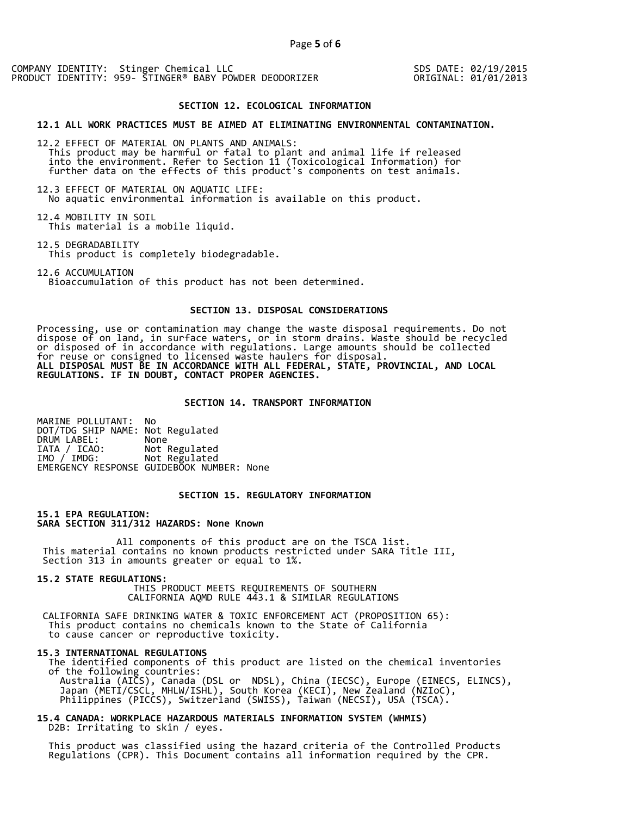SDS DATE: 02/19/2015 ORIGINAL: 01/01/2013

#### **SECTION 12. ECOLOGICAL INFORMATION**

**12.1 ALL WORK PRACTICES MUST BE AIMED AT ELIMINATING ENVIRONMENTAL CONTAMINATION.** 

12.2 EFFECT OF MATERIAL ON PLANTS AND ANIMALS: This product may be harmful or fatal to plant and animal life if released into the environment. Refer to Section 11 (Toxicological Information) for further data on the effects of this product's components on test animals.

12.3 EFFECT OF MATERIAL ON AQUATIC LIFE: No aquatic environmental information is available on this product.

12.4 MOBILITY IN SOIL This material is a mobile liquid.

12.5 DEGRADABILITY

This product is completely biodegradable.

12.6 ACCUMULATION Bioaccumulation of this product has not been determined.

# **SECTION 13. DISPOSAL CONSIDERATIONS**

Processing, use or contamination may change the waste disposal requirements. Do not dispose of on land, in surface waters, or in storm drains. Waste should be recycled or disposed of in accordance with regulations. Large amounts should be collected for reuse or consigned to licensed waste haulers for disposal. **ALL DISPOSAL MUST BE IN ACCORDANCE WITH ALL FEDERAL, STATE, PROVINCIAL, AND LOCAL REGULATIONS. IF IN DOUBT, CONTACT PROPER AGENCIES.** 

#### **SECTION 14. TRANSPORT INFORMATION**

MARINE POLLUTANT: No DOT/TDG SHIP NAME: Not Regulated DRUM LABEL:<br>IATA / ICAO: IATA / ICAO: Not Regulated<br>IMO / IMDG: Not Regulated Not Regulated EMERGENCY RESPONSE GUIDEBOOK NUMBER: None

# **SECTION 15. REGULATORY INFORMATION**

**15.1 EPA REGULATION: SARA SECTION 311/312 HAZARDS: None Known** 

All components of this product are on the TSCA list. This material contains no known products restricted under SARA Title III, Section 313 in amounts greater or equal to 1%.

**15.2 STATE REGULATIONS:**

 THIS PRODUCT MEETS REQUIREMENTS OF SOUTHERN CALIFORNIA AQMD RULE 443.1 & SIMILAR REGULATIONS

 CALIFORNIA SAFE DRINKING WATER & TOXIC ENFORCEMENT ACT (PROPOSITION 65): This product contains no chemicals known to the State of California to cause cancer or reproductive toxicity.

#### **15.3 INTERNATIONAL REGULATIONS**

 The identified components of this product are listed on the chemical inventories of the following countries: Australia (AICS), Canada (DSL or NDSL), China (IECSC), Europe (EINECS, ELINCS), Japan (METI/CSCL, MHLW/ISHL), South Korea (KECI), New Zealand (NZIoC), Philippines (PICCS), Switzerland (SWISS), Taiwan (NECSI), USA (TSCA).

**15.4 CANADA: WORKPLACE HAZARDOUS MATERIALS INFORMATION SYSTEM (WHMIS)**  D2B: Irritating to skin / eyes.

 This product was classified using the hazard criteria of the Controlled Products Regulations (CPR). This Document contains all information required by the CPR.